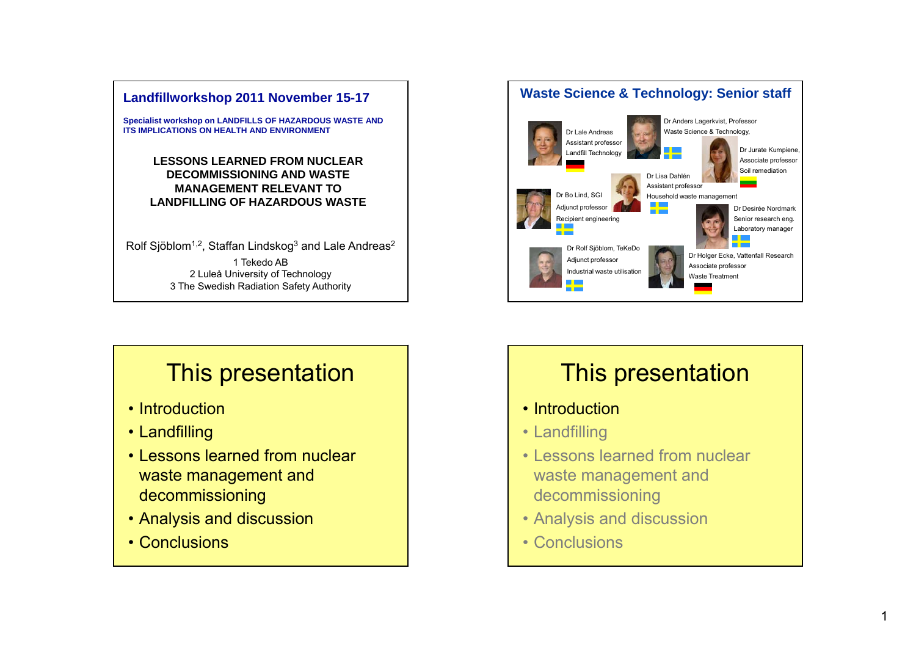

**Specialist workshop on LANDFILLS OF HAZARDOUS WASTE AND ITS IMPLICATIONS ON HEALTH AND ENVIRONMENT** 

> **LESSONS LEARNED FROM NUCLEAR DECOMMISSIONING AND WASTE MANAGEMENT RELEVANT TO LANDFILLING OF HAZARDOUS WASTE**

Rolf Sjöblom<sup>1,2</sup>, Staffan Lindskog<sup>3</sup> and Lale Andreas<sup>2</sup> 1 Tekedo AB2 Luleå University of Technology 3 The Swedish Radiation Safety Authority

# This presentation

- Introduction
- Landfilling
- Lessons learned from nuclear waste management and decommissioning
- Analysis and discussion
- Conclusions



# This presentation

- Introduction
- Landfilling
- Lessons learned from nuclear waste management and decommissioning
- Analysis and discussion
- Conclusions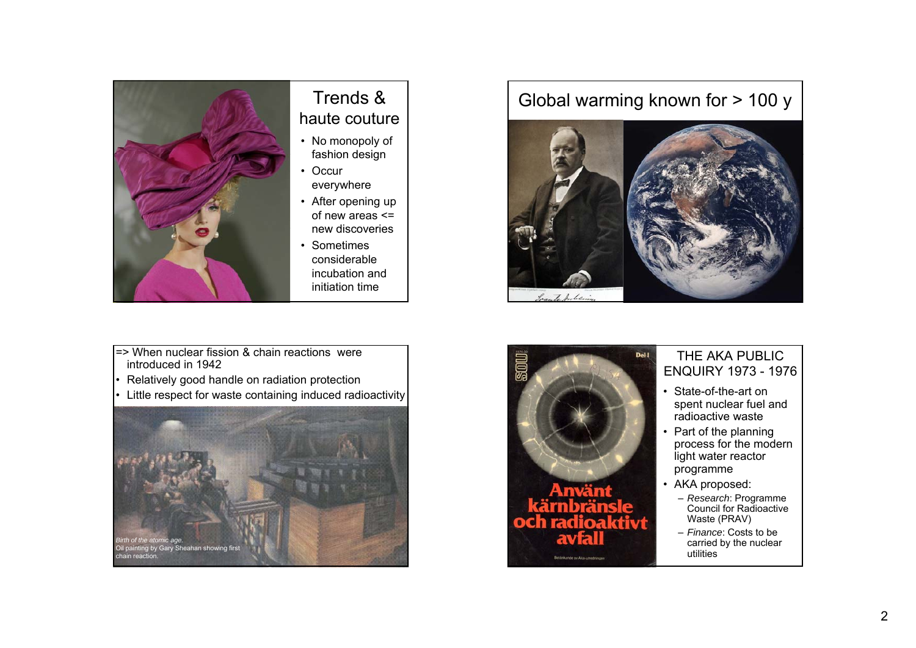

## Trends &haute couture

- No monopoly of fashion design
- Occur everywhere
- After opening up of new areas <= new discoveries. . . . . .
- Sometimes considerable incubation and initiation time
- => When nuclear fission & chain reactions were introduced in 1942
- •Relatively good handle on radiation protection
- •Little respect for waste containing induced radioactivity



# Global warming known for > 100 y





#### $\mathcal{P}$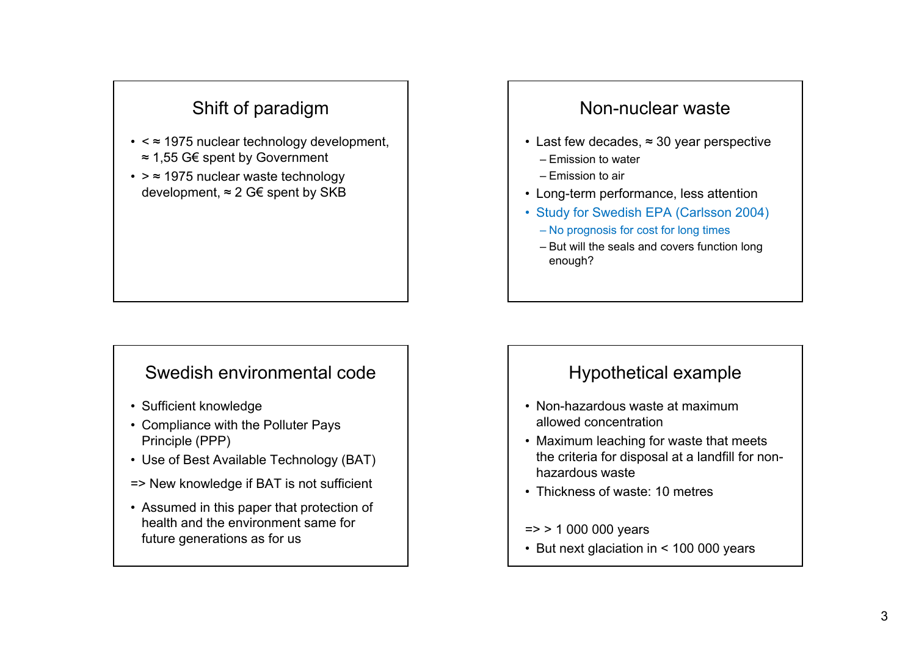# Shift of paradigm

- <sup>&</sup>lt;≈ 1975 nuclear technology development, ≈ 1,55 G€ spent by Government
- <sup>&</sup>gt;≈ 1975 nuclear waste technology development, ≈ 2 G€ spent by SKB

#### Swedish environmental code

- Sufficient knowledge
- Compliance with the Polluter Pays Principle (PPP)
- Use of Best Available Technology (BAT)
- => New knowledge if BAT is not sufficient
- Assumed in this paper that protection of health and the environment same for future generations as for us

#### Non-nuclear waste

- Last few decades, ≈ 30 year perspective
	- Emission to water
	- Emission to air
- Long-term performance, less attention
- Study for Swedish EPA (Carlsson 2004)
	- No prognosis for cost for long times
	- But will the seals and covers function long enough?

#### Hypothetical example

- Non-hazardous waste at maximum allowed concentration
- Maximum leaching for waste that meets the criteria for disposal at a landfill for nonhazardous waste
- Thickness of waste: 10 metres
- => > 1 000 000 years
- But next glaciation in < 100 000 years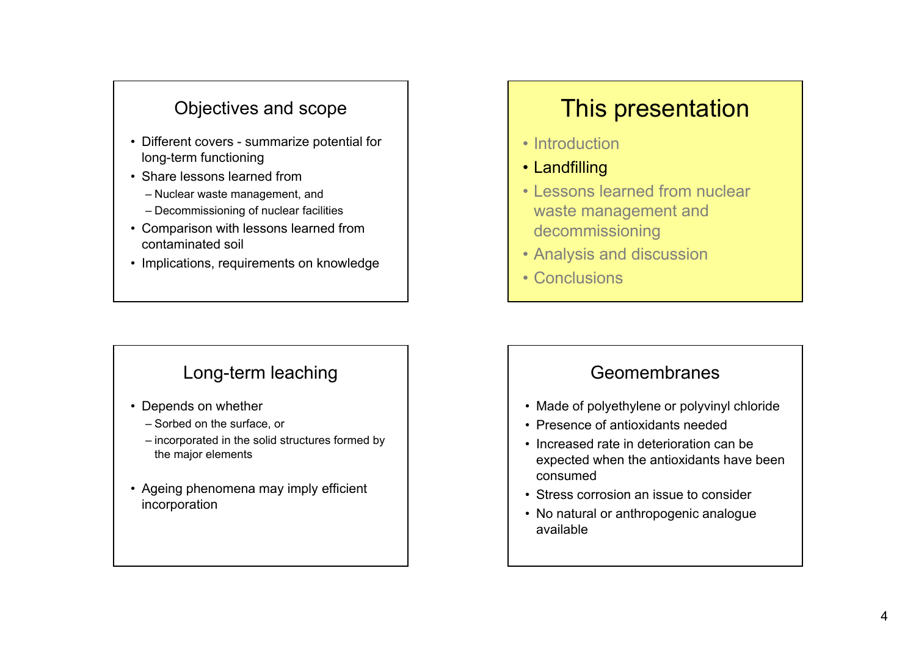### Objectives and scope

- Different covers summarize potential for long-term functioning
- Share lessons learned from
	- Nuclear waste management, and
	- Decommissioning of nuclear facilities
- Comparison with lessons learned from contaminated soil
- Implications, requirements on knowledge

#### Long-term leaching

- Depends on whether
	- Sorbed on the surface, or
	- incorporated in the solid structures formed by the major elements
- Ageing phenomena may imply efficient incorporation

# This presentation

- Introduction
- Landfilling
- Lessons learned from nuclear waste management and decommissioning
- Analysis and discussion
- Conclusions

#### Geomembranes

- Made of polyethylene or polyvinyl chloride
- Presence of antioxidants needed
- Increased rate in deterioration can be expected when the antioxidants have been consumed
- Stress corrosion an issue to consider
- No natural or anthropogenic analogue available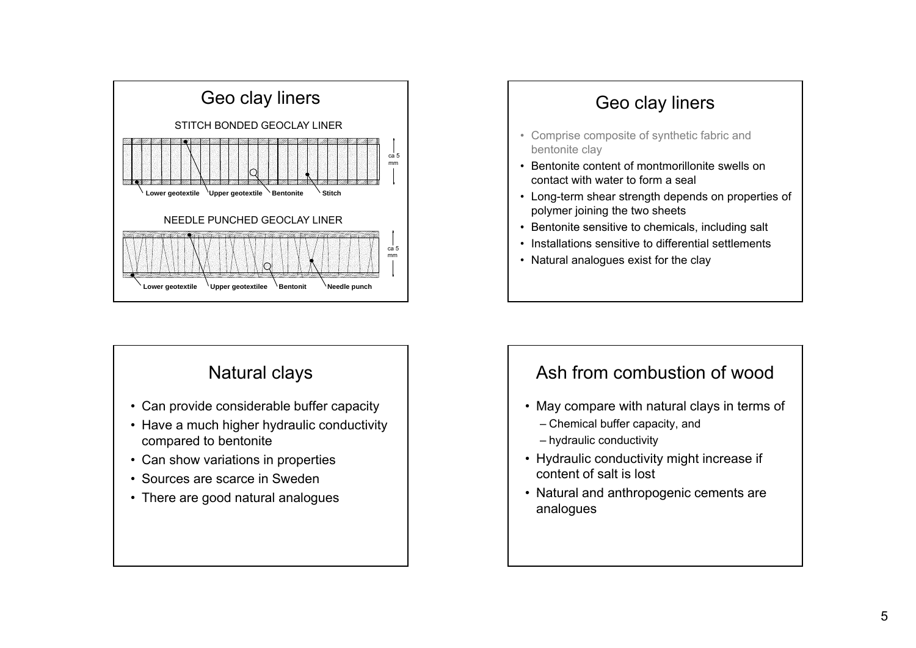

#### Natural clays

- Can provide considerable buffer capacity
- Have a much higher hydraulic conductivity compared to bentonite
- Can show variations in properties
- Sources are scarce in Sweden
- There are good natural analogues



## Ash from combustion of wood

- May compare with natural clays in terms of
	- Chemical buffer capacity, and
	- hydraulic conductivity
- Hydraulic conductivity might increase if content of salt is lost
- Natural and anthropogenic cements are analogues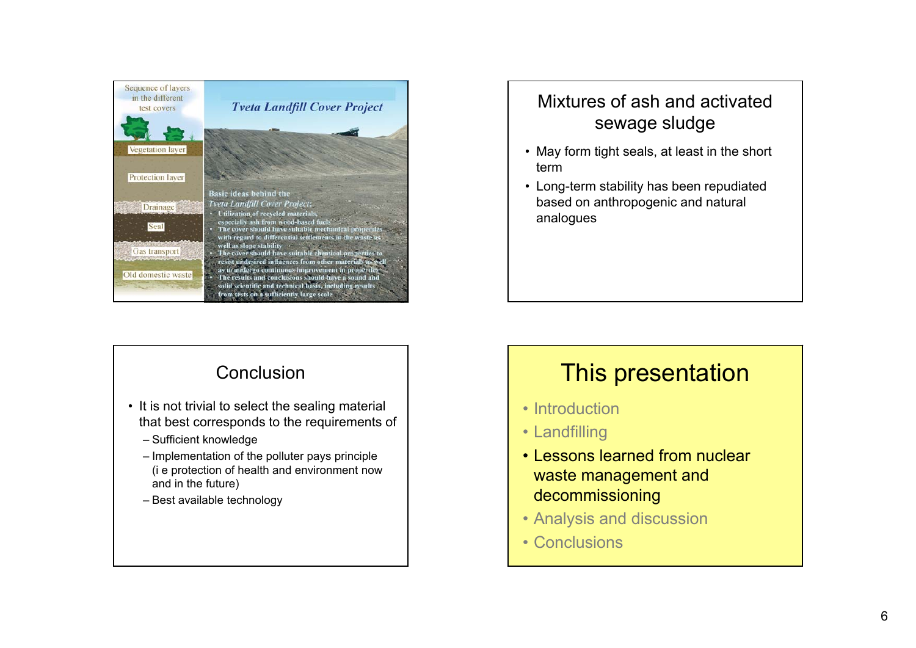

#### **Conclusion**

- It is not trivial to select the sealing material that best corresponds to the requirements of
	- Sufficient knowledge
	- Implementation of the polluter pays principle (i e protection of health and environment now and in the future)
	- Best available technology

## Mixtures of ash and activated sewage sludge

- May form tight seals, at least in the short term
- Long-term stability has been repudiated based on anthropogenic and natural analogues

# This presentation

- Introduction
- Landfilling
- Lessons learned from nuclear waste management and decommissioning
- Analysis and discussion
- Conclusions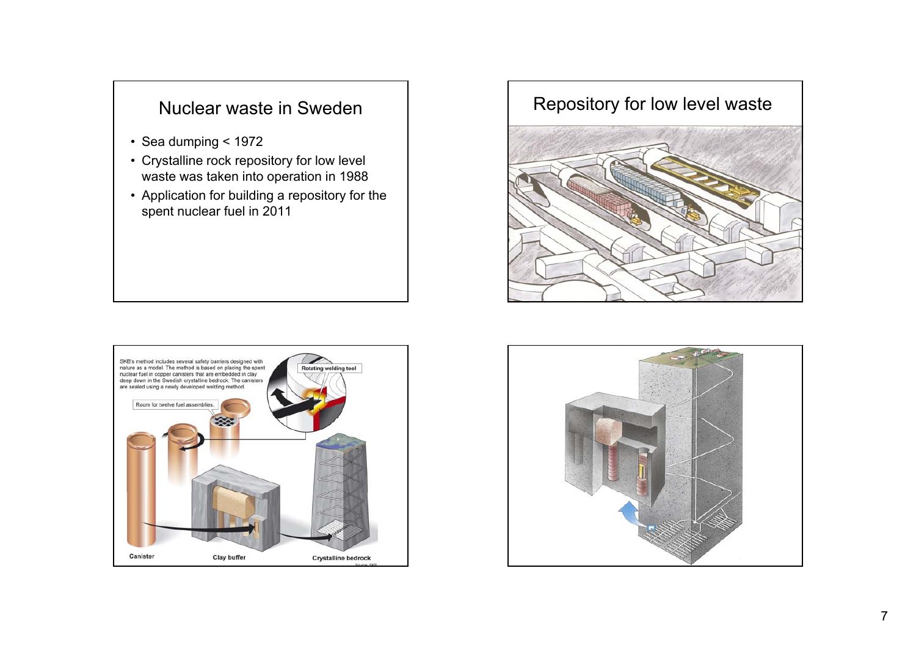#### Nuclear waste in Sweden

- Sea dumping < 1972
- Crystalline rock repository for low level waste was taken into operation in 1988
- Application for building a repository for the spent nuclear fuel in 2011





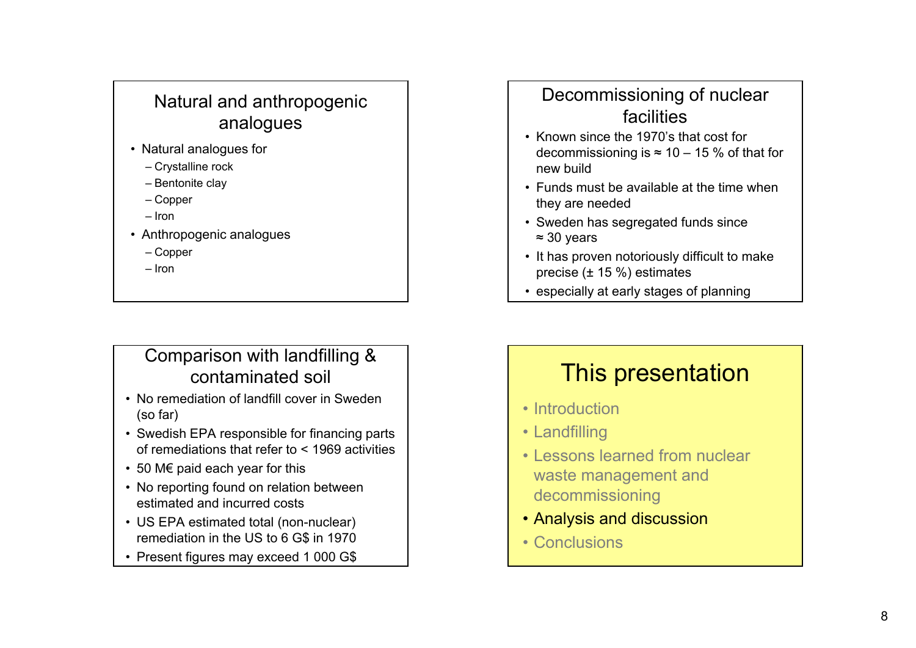# Natural and anthropogenic analogues

- Natural analo gues for
	- Crystalline rock
	- Bentonite clay
	- Copper
	- Iron
- Anthropogenic analogues
	- Copper
	- Iron

# Comparison with landfilling & contaminated soil

- No remediation of landfill cover in Sweden (so far)
- Swedish EPA responsible for financing parts of remediations that refer to < 1969 activities
- 50 M€ paid each year for this
- No reporting found on relation between estimated and incurred costs
- US EPA estimated total (non-nuclear) remediation in the US to 6 G\$ in 1970
- Present figures may exceed 1 000 G\$

# Decommissioning of nuclear facilities

- Known since the 1970's that cost for decommissioning is ≈ 10 – 15 % of that for new build
- Funds must be available at the time when they are needed
- Sweden has segregated funds since <sup>≈</sup> 30 years
- It has proven notoriously difficult to make precise (± 15 %) estimates
- especially at early stages of planning

# This presentation

- Introduction
- Landfilling
- Lessons learned from nuclear waste management and decommissioning
- Analysis and discussion
- Conclusions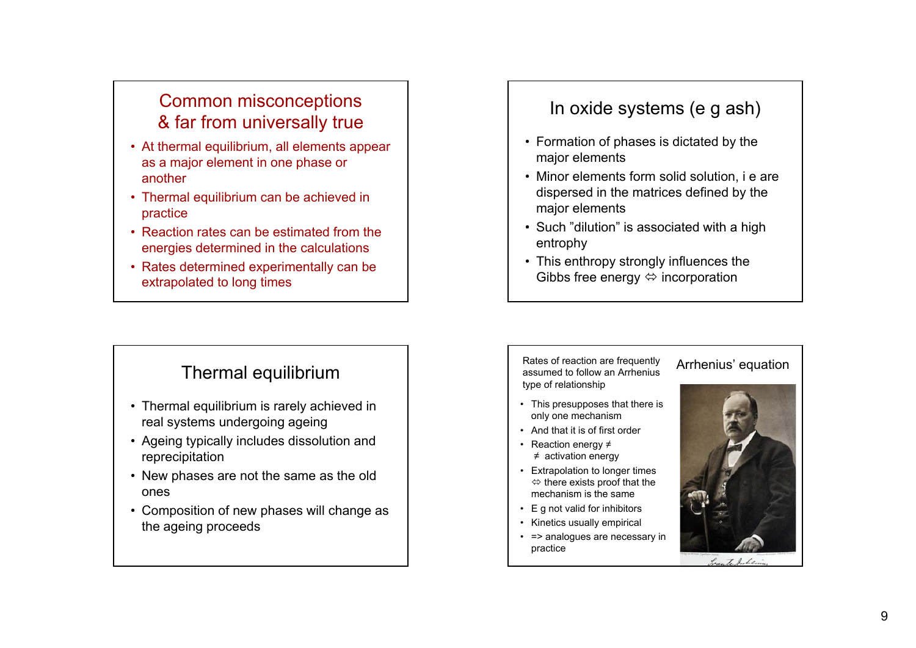## Common misconceptions & far from universally true

- At thermal equilibrium, all elements appear as a major element in one phase or another
- Thermal equilibrium can be achieved in practice
- $\cdot$  Reaction rates can be estimated from the energies determined in the calculations
- Rates determined experimentally can be extrapolated to long times

#### Thermal equilibrium

- Thermal equilibrium is rarely achieved in real systems undergoing ageing
- Ageing typically includes dissolution and reprecipitation
- New phases are not the same as the old ones
- Composition of new phases will change as the ageing proceeds

#### In oxide systems (e g ash)

- Formation of phases is dictated by the major elements
- Minor elements form solid solution, i e are dispersed in the matrices defined by the major elements
- Such "dilution" is associated with a high entrophy
- This enthropy strongly influences the Gibbs free energy  $\Leftrightarrow$  incorporation

#### Rates of reaction are frequently assumed to follow an Arrhenius type of relationship

- This presupposes that there is only one mechanism
- And that it is of first order
- Reaction energy ≠ ≠ activation energy
- Extrapolation to longer times  $\Leftrightarrow$  there exists proof that the mechanism is the same
- E g not valid for inhibitors
- Kinetics usually empirical
- => analogues are necessary in practice



Arrhenius' equation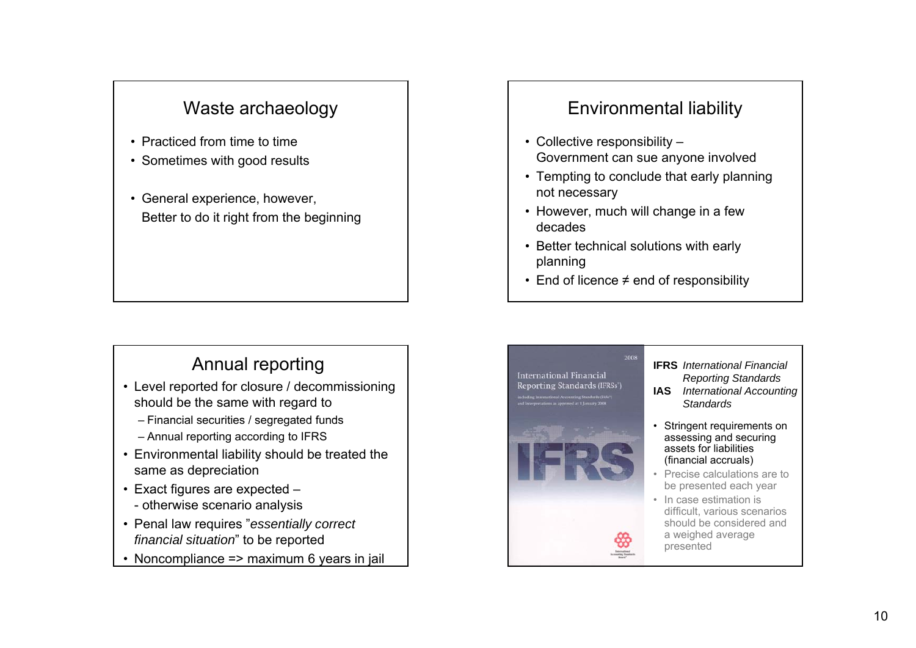### Waste archaeology

- Practiced from time to time
- Sometimes with good results
- General experience, however, Better to do it right from the beginning

# Annual reporting

- Level reported for closure / decommissioning should be the same with regard to
	- Financial securities / segregated funds
	- Annual reporting according to IFRS
- Environmental liability should be treated the same as depreciation
- Exact figures are expected - otherwise scenario analysis
- Penal law requires "*essentially correct financial situation*" to be reported
- Noncompliance => maximum 6 years in jail

#### Environmental liability

- Collective responsibility Government can sue anyone involved
- Tempting to conclude that early planning not necessary
- However, much will change in a few decades
- Better technical solutions with early planning
- End of licence ≠ end of responsibility



- **IFRS** *International Financial Reporting Standards*
- **IAS** *International Accounting Standards*
- Stringent requirements on assessing and securing assets for liabilities (financial accruals)
- Precise calculations are to be presented each year
- In case estimation is difficult, various scenarios should be considered and a weighed average presented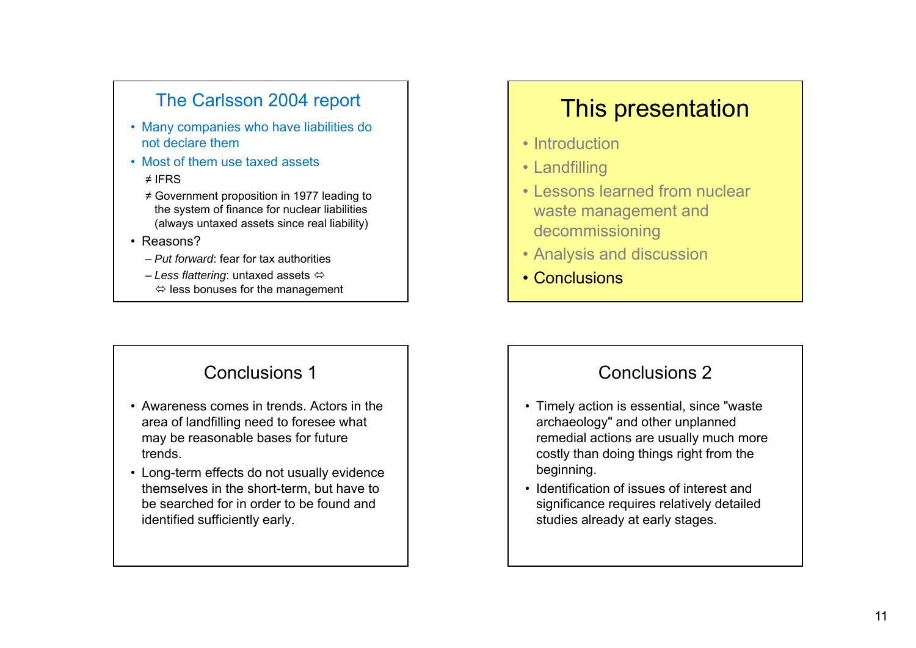## The Carlsson 2004 report

- Many companies who have liabilities do not declare them
- Most of them use taxed assets

#### ≠ IFRS

- ≠ Government proposition in 1977 leading to the system of finance for nuclear liabilities (always untaxed assets since real liability)
- Reasons?
	- *Put forward*: fear for tax authorities
	- *Less flattering*: untaxed assets  $\Leftrightarrow$  less bonuses for the management

#### Conclusions 1

- Awareness comes in trends. Actors in the area of landfilling need to foresee what may be reasonable bases for future trends.
- Long-term effects do not usually evidence themselves in the short-term, but have to be searched for in order to be found and identified sufficiently early.

# This presentation

- Introduction
- Landfilling
- Lessons learned from nuclear waste management and decommissioning
- Analysis and discussion
- Conclusions

#### Conclusions 2

- Timely action is essential, since "waste archaeology" and other unplanned remedial actions are usually much more costly than doing things right from the beginning.
- Identification of issues of interest and significance requires relatively detailed studies already at early stages.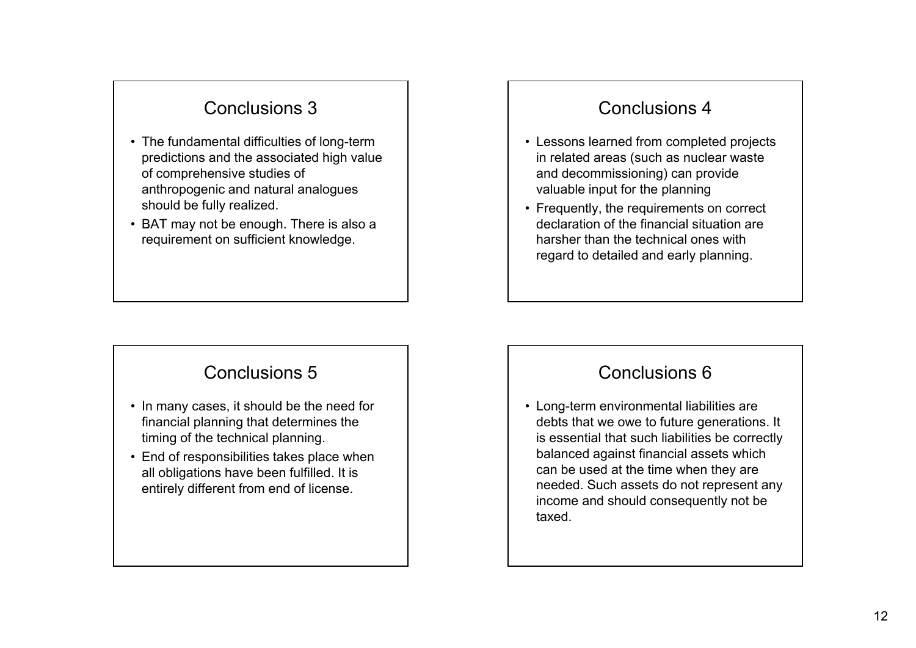### Conclusions 3

- The fundamental difficulties of long-term predictions and the associated high value of comprehensive studies of anthropogenic and natural analogues should be fully realized.
- $\bullet\,$  BAT may not be enough. There is also a requirement on sufficient knowledge.

#### Conclusions 5

- In many cases, it should be the need for financial planning that determines the timing of the technical planning.
- End of responsibilities takes place when all obligations have been fulfilled. It is entirely different from end of license.

#### Conclusions 4

- Lessons learned from completed projects in related areas (such as nuclear waste and decommissioning) can provide valuable input for the planning
- Frequently, the requirements on correct declaration of the financial situation are harsher than the technical ones with regard to detailed and early planning.

#### Conclusions 6

• Long-term environmental liabilities are debts that we owe to future generations. It is essential that such liabilities be correctly balanced against financial assets which can be used at the time when they are needed. Such assets do not represent any income and should consequently not be taxed.